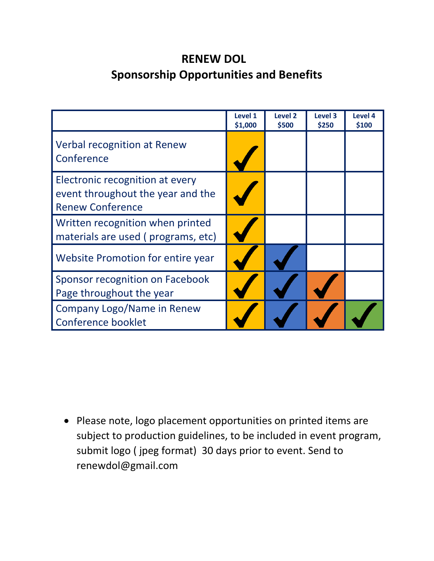## **RENEW DOL Sponsorship Opportunities and Benefits**

|                                                                                                 | Level 1<br>\$1,000 | Level <sub>2</sub><br>\$500 | Level 3<br>\$250 | Level 4<br>\$100 |
|-------------------------------------------------------------------------------------------------|--------------------|-----------------------------|------------------|------------------|
| Verbal recognition at Renew<br>Conference                                                       |                    |                             |                  |                  |
| Electronic recognition at every<br>event throughout the year and the<br><b>Renew Conference</b> |                    |                             |                  |                  |
| Written recognition when printed<br>materials are used (programs, etc)                          |                    |                             |                  |                  |
| Website Promotion for entire year                                                               |                    |                             |                  |                  |
| Sponsor recognition on Facebook<br>Page throughout the year                                     |                    |                             |                  |                  |
| Company Logo/Name in Renew<br><b>Conference booklet</b>                                         |                    |                             |                  |                  |

 Please note, logo placement opportunities on printed items are subject to production guidelines, to be included in event program, submit logo ( jpeg format) 30 days prior to event. Send to renewdol@gmail.com